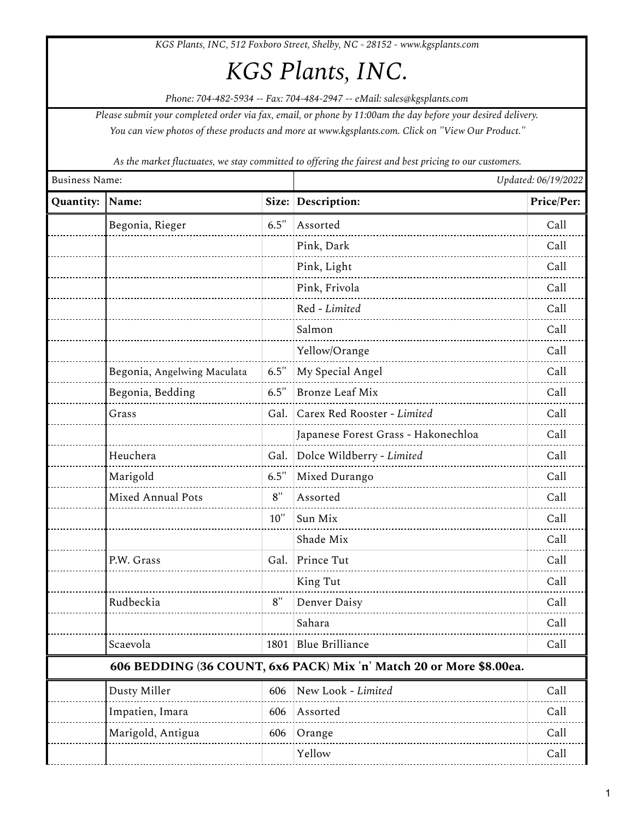*KGS Plants, INC, 512 Foxboro Street, Shelby, NC - 28152 - www.kgsplants.com*

## *KGS Plants, INC.*

*Phone: 704-482-5934 -- Fax: 704-484-2947 -- eMail: sales@kgsplants.com*

*Please submit your completed order via fax, email, or phone by 11:00am the day before your desired delivery. You can view photos of these products and more at www.kgsplants.com. Click on "View Our Product."*

*As the market fluctuates, we stay committed to offering the fairest and best pricing to our customers.*

| <b>Business Name:</b> |                             | Updated: 06/19/2022 |                                                                     |            |
|-----------------------|-----------------------------|---------------------|---------------------------------------------------------------------|------------|
| Quantity:             | Name:                       | Size:               | Description:                                                        | Price/Per: |
|                       | Begonia, Rieger             | 6.5"                | Assorted                                                            | Call       |
|                       |                             |                     | Pink, Dark                                                          | Call       |
|                       |                             |                     | Pink, Light                                                         | Call       |
|                       |                             |                     | Pink, Frivola                                                       | Call       |
|                       |                             |                     | Red - Limited                                                       | Call       |
|                       |                             |                     | Salmon                                                              | Call       |
|                       |                             |                     | Yellow/Orange                                                       | Call       |
|                       | Begonia, Angelwing Maculata | 6.5"                | My Special Angel                                                    | Call       |
|                       | Begonia, Bedding            | 6.5"                | <b>Bronze Leaf Mix</b>                                              | Call       |
|                       | Grass                       | Gal.                | Carex Red Rooster - Limited                                         | Call       |
|                       |                             |                     | Japanese Forest Grass - Hakonechloa                                 | Call       |
|                       | Heuchera                    | Gal.                | Dolce Wildberry - Limited                                           | Call       |
|                       | Marigold                    | 6.5'                | Mixed Durango                                                       | Call       |
|                       | Mixed Annual Pots           | 8"                  | Assorted                                                            | Call       |
|                       |                             | $10$ "              | Sun Mix                                                             | Call       |
|                       |                             |                     | Shade Mix                                                           | Call       |
|                       | P.W. Grass                  | Gal.                | Prince Tut                                                          | Call       |
|                       |                             |                     | King Tut                                                            | Call       |
|                       | Rudbeckia                   | 8"                  | Denver Daisy                                                        | Call       |
|                       |                             |                     | Sahara                                                              | Call       |
|                       | Scaevola                    | 1801                | <b>Blue Brilliance</b>                                              | Call       |
|                       |                             |                     | 606 BEDDING (36 COUNT, 6x6 PACK) Mix 'n' Match 20 or More \$8.00ea. |            |
|                       | Dusty Miller                | 606                 | New Look - Limited                                                  | Call       |
|                       | Impatien, Imara             | 606                 | Assorted                                                            | Call       |
|                       | Marigold, Antigua           | 606                 | Orange                                                              | Call       |
|                       |                             |                     | Yellow                                                              | Call       |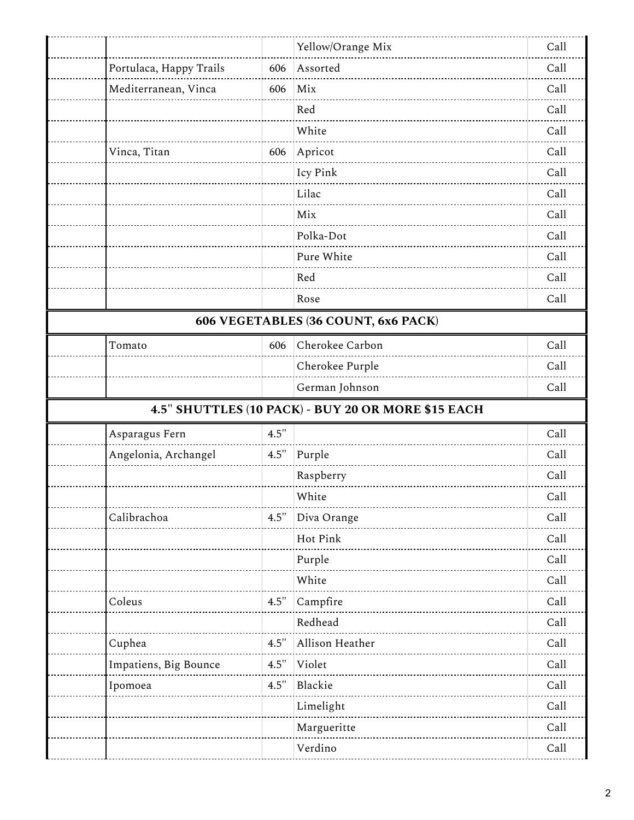|                                                    |      | Yellow/Orange Mix | Call |  |  |  |  |
|----------------------------------------------------|------|-------------------|------|--|--|--|--|
| Portulaca, Happy Trails                            | 606  | Assorted          | Call |  |  |  |  |
| Mediterranean, Vinca                               | 606  | Mix               | Call |  |  |  |  |
|                                                    |      | Red               | Call |  |  |  |  |
|                                                    |      | White             | Call |  |  |  |  |
| Vinca, Titan                                       | 606  | Apricot           | Call |  |  |  |  |
|                                                    |      | Icy Pink          | Call |  |  |  |  |
|                                                    |      | Lilac             | Call |  |  |  |  |
|                                                    |      | Mix               | Call |  |  |  |  |
|                                                    |      | Polka-Dot         | Call |  |  |  |  |
|                                                    |      | Pure White        | Call |  |  |  |  |
|                                                    |      | Red               | Call |  |  |  |  |
|                                                    |      | Rose              | Call |  |  |  |  |
| 606 VEGETABLES (36 COUNT, 6x6 PACK)                |      |                   |      |  |  |  |  |
| Tomato                                             | 606  | Cherokee Carbon   | Call |  |  |  |  |
|                                                    |      | Cherokee Purple   | Call |  |  |  |  |
|                                                    |      | German Johnson    | Call |  |  |  |  |
| 4.5" SHUTTLES (10 PACK) - BUY 20 OR MORE \$15 EACH |      |                   |      |  |  |  |  |
| Asparagus Fern                                     | 4.5" |                   | Call |  |  |  |  |
| Angelonia, Archangel                               | 4.5" | Purple            | Call |  |  |  |  |
|                                                    |      | Raspberry         | Call |  |  |  |  |
|                                                    |      | White             | Call |  |  |  |  |
| Calibrachoa                                        | 4.5  | Diva Orange       | Call |  |  |  |  |
|                                                    |      | Hot Pink          | Call |  |  |  |  |
|                                                    |      | Purple            | Call |  |  |  |  |
|                                                    |      | White             | Call |  |  |  |  |
| Coleus                                             | 4.5" | Campfire          | Call |  |  |  |  |
|                                                    |      | Redhead           | Call |  |  |  |  |
| Cuphea                                             | 4.5" | Allison Heather   | Call |  |  |  |  |
| Impatiens, Big Bounce                              | 4.5" | Violet            | Call |  |  |  |  |
| Ipomoea                                            | 4.5" | Blackie           | Call |  |  |  |  |
|                                                    |      | Limelight         | Call |  |  |  |  |
|                                                    |      | Margueritte       | Call |  |  |  |  |
|                                                    |      | Verdino           | Call |  |  |  |  |
|                                                    |      |                   |      |  |  |  |  |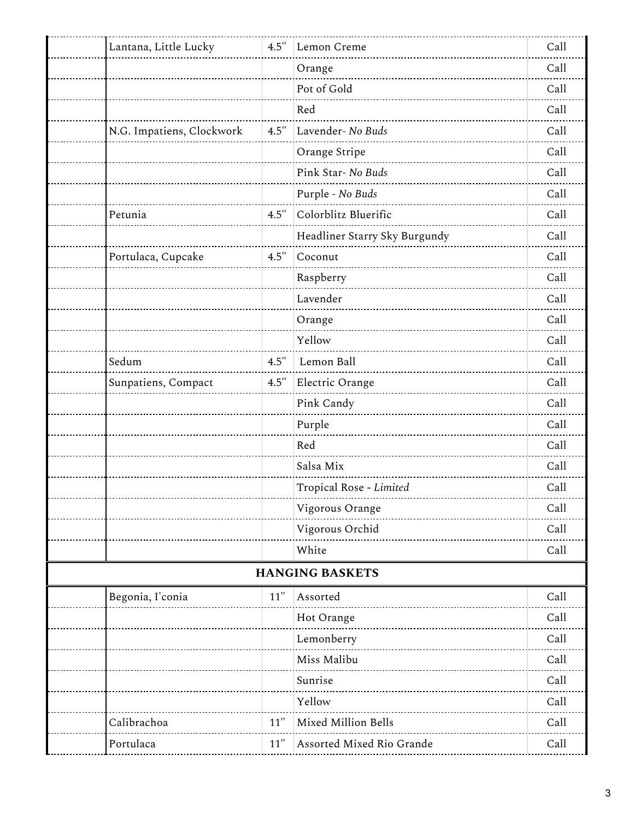| Lantana, Little Lucky     | 4.5"  | Lemon Creme                   | Call |
|---------------------------|-------|-------------------------------|------|
|                           |       | Orange                        | Call |
|                           |       | Pot of Gold                   | Call |
|                           |       | Red                           | Call |
| N.G. Impatiens, Clockwork | 4.5"  | Lavender- No Buds             | Call |
|                           |       | Orange Stripe                 | Call |
|                           |       | Pink Star- No Buds            | Call |
|                           |       | Purple - No Buds              | Call |
| Petunia                   | 4.5"  | Colorblitz Bluerific          | Call |
|                           |       | Headliner Starry Sky Burgundy | Call |
| Portulaca, Cupcake        | 4.5"  | Coconut                       | Call |
|                           |       | Raspberry                     | Call |
|                           |       | Lavender                      | Call |
|                           |       | Orange                        | Call |
|                           |       | Yellow                        | Call |
| Sedum                     | 4.5"  | Lemon Ball                    | Call |
| Sunpatiens, Compact       | 4.5'' | Electric Orange               | Call |
|                           |       | Pink Candy                    | Call |
|                           |       | Purple                        | Call |
|                           |       | Red                           | Call |
|                           |       | Salsa Mix                     | Call |
|                           |       | Tropical Rose - Limited       | Call |
|                           |       | Vigorous Orange               | Call |
|                           |       | Vigorous Orchid               | Call |
|                           |       | White                         | Call |
|                           |       | <b>HANGING BASKETS</b>        |      |
| Begonia, I'conia          | 11"   | Assorted                      | Call |
|                           |       | Hot Orange                    | Call |
|                           |       | Lemonberry                    | Call |
|                           |       | Miss Malibu                   | Call |
|                           |       | Sunrise                       | Call |
|                           |       | Yellow                        | Call |
| Calibrachoa               | 11"   | Mixed Million Bells           | Call |
| Portulaca                 | 11"   | Assorted Mixed Rio Grande     | Call |
|                           |       |                               |      |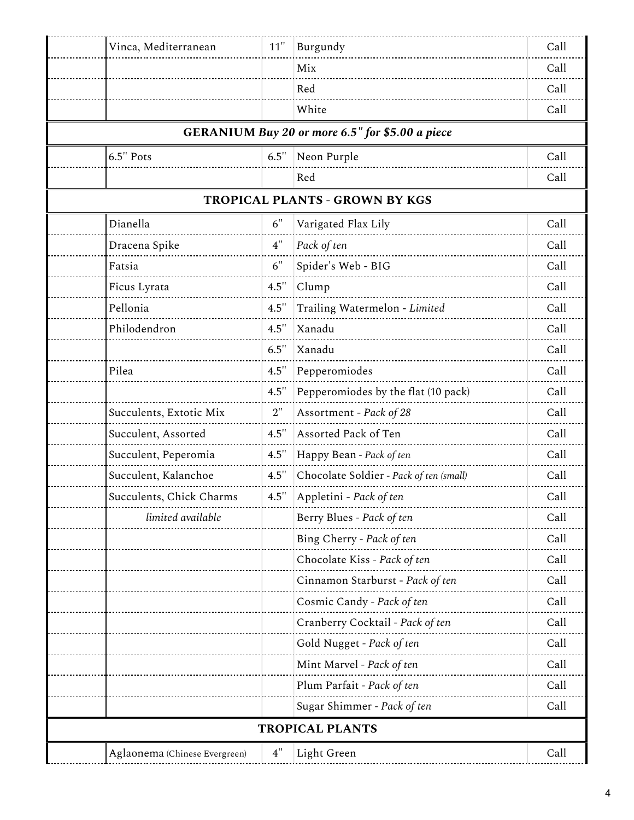| Vinca, Mediterranean          | 11"  | Burgundy                                        | Call |
|-------------------------------|------|-------------------------------------------------|------|
|                               |      | Mix                                             | Call |
|                               |      | Red                                             | Call |
|                               |      | White                                           | Call |
|                               |      | GERANIUM Buy 20 or more 6.5" for \$5.00 a piece |      |
| 6.5" Pots                     | 6.5" | Neon Purple                                     | Call |
|                               |      | Red                                             | Call |
|                               |      | TROPICAL PLANTS - GROWN BY KGS                  |      |
| Dianella                      | 6"   | Varigated Flax Lily                             | Call |
| Dracena Spike                 | 4"   | Pack of ten                                     | Call |
| Fatsia                        | 6"   | Spider's Web - BIG                              | Call |
| Ficus Lyrata                  | 4.5  | Clump                                           | Call |
| Pellonia                      | 4.5" | Trailing Watermelon - Limited                   | Call |
| Philodendron                  | 4.5" | Xanadu                                          | Call |
|                               | 6.5" | Xanadu                                          | Call |
| Pilea                         | 4.5" | Pepperomiodes                                   | Call |
|                               | 4.5" | Pepperomiodes by the flat (10 pack)             | Call |
| Succulents, Extotic Mix       | 2"   | Assortment - Pack of 28                         | Call |
| Succulent, Assorted           | 4.5" | Assorted Pack of Ten                            | Call |
| Succulent, Peperomia          | 4.5" | Happy Bean - Pack of ten                        | Call |
| Succulent, Kalanchoe          | 4.5" | Chocolate Soldier - Pack of ten (small)         | Call |
| Succulents, Chick Charms      | 4.5" | Appletini - Pack of ten                         | Call |
| limited available             |      | Berry Blues - Pack of ten                       | Call |
|                               |      | Bing Cherry - Pack of ten                       | Call |
|                               |      | Chocolate Kiss - Pack of ten                    | Call |
|                               |      | Cinnamon Starburst - Pack of ten                | Call |
|                               |      | Cosmic Candy - Pack of ten                      | Call |
|                               |      | Cranberry Cocktail - Pack of ten                | Call |
|                               |      | Gold Nugget - Pack of ten                       | Call |
|                               |      | Mint Marvel - Pack of ten                       | Call |
|                               |      | Plum Parfait - Pack of ten                      | Call |
|                               |      | Sugar Shimmer - Pack of ten                     | Call |
|                               |      | <b>TROPICAL PLANTS</b>                          |      |
| Aglaonema (Chinese Evergreen) | 4"   | Light Green                                     | Call |
|                               |      |                                                 |      |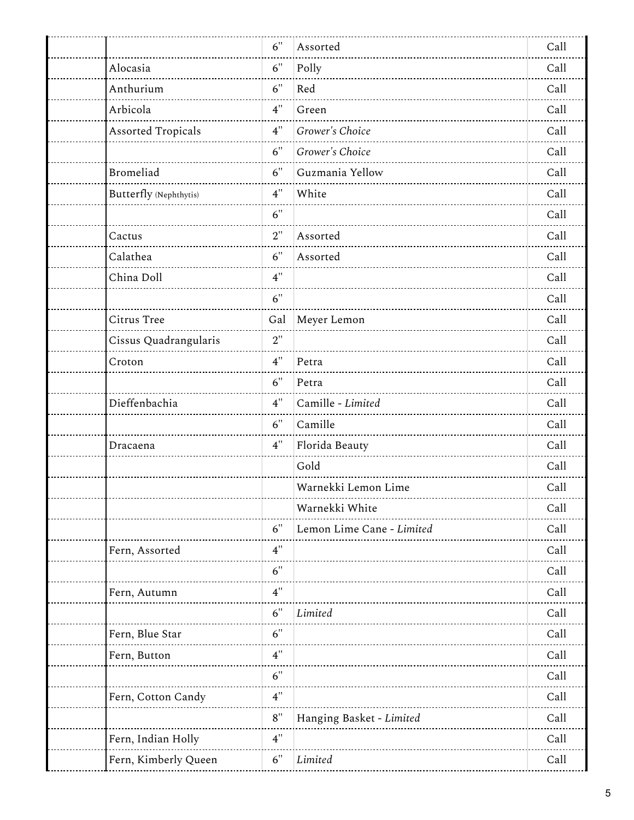|                           | 6"   | Assorted                  | Call |
|---------------------------|------|---------------------------|------|
| Alocasia                  | 6"   | Polly                     | Call |
| Anthurium                 | 6"   | Red                       | Call |
| Arbicola                  | 4"   | Green                     | Call |
| <b>Assorted Tropicals</b> | 4"   | Grower's Choice           | Call |
|                           | 6"   | Grower's Choice           | Call |
| <b>Bromeliad</b>          | 6"   | Guzmania Yellow           | Call |
| Butterfly (Nephthytis)    | 4"   | White                     | Call |
|                           | 6"   |                           | Call |
| Cactus                    | 2"   | Assorted                  | Call |
| Calathea                  | 6"   | Assorted                  | Call |
| China Doll                | 4"   |                           | Call |
|                           | 6"   |                           | Call |
| Citrus Tree               | Gal  | Meyer Lemon               | Call |
| Cissus Quadrangularis     | 2"   |                           | Call |
| Croton                    | 4"   | Petra                     | Call |
|                           | 6"   | Petra                     | Call |
| Dieffenbachia             | 4"   | Camille - Limited         | Call |
|                           | 6"   | Camille                   | Call |
| Dracaena                  | 4"   | Florida Beauty            | Call |
|                           |      | Gold                      | Call |
|                           |      | Warnekki Lemon Lime       | Call |
|                           |      | Warnekki White            | Call |
|                           | 6"   | Lemon Lime Cane - Limited | Call |
| Fern, Assorted            | 4"   |                           | Call |
|                           | 6"   |                           | Call |
| Fern, Autumn              | 4"   |                           | Call |
|                           | 6"   | Limited                   | Call |
| Fern, Blue Star           | 6"   |                           | Call |
| Fern, Button              | 4"   |                           | Call |
|                           | 6"   |                           | Call |
| Fern, Cotton Candy        | 4"   |                           | Call |
|                           | $8"$ | Hanging Basket - Limited  | Call |
| Fern, Indian Holly        | 4"   |                           | Call |
| Fern, Kimberly Queen      | 6"   | Limited                   | Call |
|                           |      |                           |      |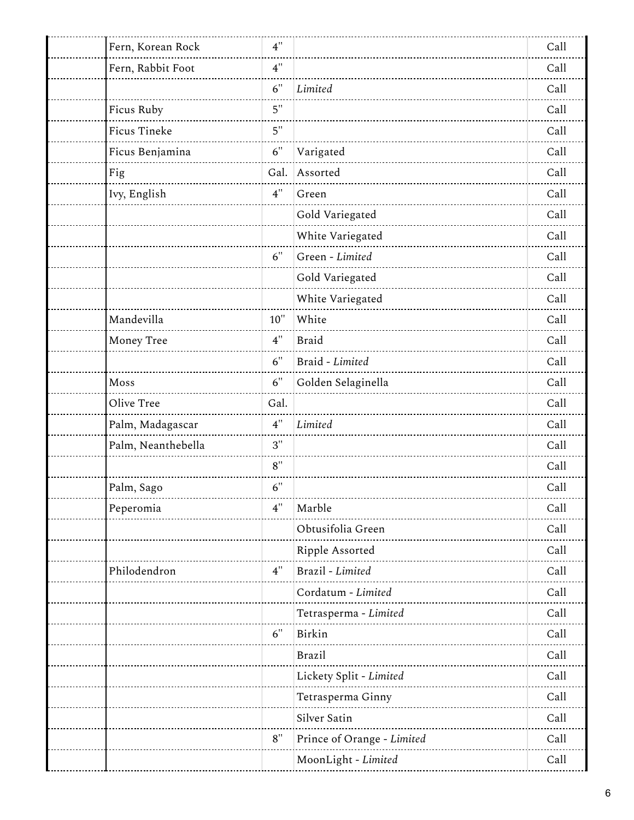| Fern, Korean Rock  | 4"     |                            | Call |
|--------------------|--------|----------------------------|------|
| Fern, Rabbit Foot  | 4"     |                            | Call |
|                    | 6"     | Limited                    | Call |
| Ficus Ruby         | 5"     |                            | Call |
| Ficus Tineke       | 5"     |                            | Call |
| Ficus Benjamina    | 6"     | Varigated                  | Call |
| Fig                | Gal.   | Assorted                   | Call |
| Ivy, English       | 4"     | Green                      | Call |
|                    |        | Gold Variegated            | Call |
|                    |        | White Variegated           | Call |
|                    | 6"     | Green - Limited            | Call |
|                    |        | Gold Variegated            | Call |
|                    |        | White Variegated           | Call |
| Mandevilla         | $10$ " | White                      | Call |
| Money Tree         | 4"     | <b>Braid</b>               | Call |
|                    | 6"     | Braid - Limited            | Call |
| Moss               | 6"     | Golden Selaginella         | Call |
| Olive Tree         | Gal.   |                            | Call |
| Palm, Madagascar   | 4"     | Limited                    | Call |
| Palm, Neanthebella | 3"     |                            | Call |
|                    | 8"     |                            | Call |
| Palm, Sago         | 6"     |                            | Call |
| Peperomia          | 4"     | Marble                     | Call |
|                    |        | Obtusifolia Green          | Call |
|                    |        | Ripple Assorted            | Call |
| Philodendron       | 4"     | Brazil - Limited           | Call |
|                    |        | Cordatum - Limited         | Call |
|                    |        | Tetrasperma - Limited      | Call |
|                    | 6"     | Birkin                     | Call |
|                    |        | <b>Brazil</b>              | Call |
|                    |        | Lickety Split - Limited    | Call |
|                    |        | Tetrasperma Ginny          | Call |
|                    |        | Silver Satin               | Call |
|                    | 8"     | Prince of Orange - Limited | Call |
|                    |        | MoonLight - Limited        | Call |
|                    |        |                            |      |